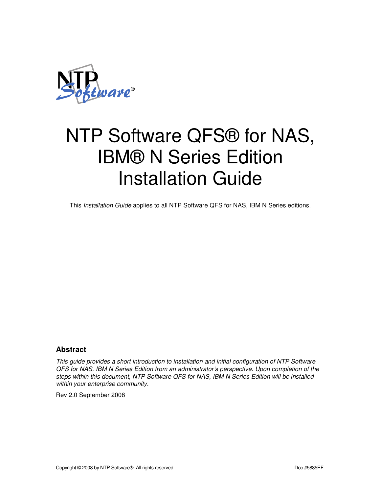

This Installation Guide applies to all NTP Software QFS for NAS, IBM N Series editions.

### **Abstract**

This guide provides a short introduction to installation and initial configuration of NTP Software QFS for NAS, IBM N Series Edition from an administrator's perspective. Upon completion of the steps within this document, NTP Software QFS for NAS, IBM N Series Edition will be installed within your enterprise community.

Rev 2.0 September 2008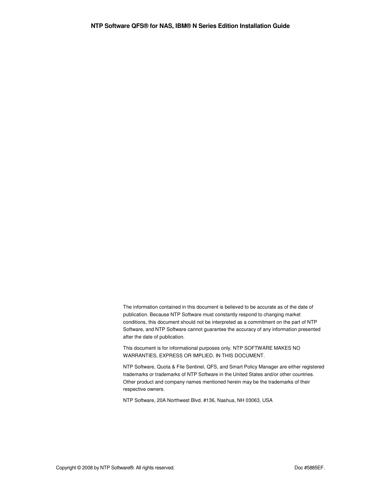The information contained in this document is believed to be accurate as of the date of publication. Because NTP Software must constantly respond to changing market conditions, this document should not be interpreted as a commitment on the part of NTP Software, and NTP Software cannot guarantee the accuracy of any information presented after the date of publication.

This document is for informational purposes only. NTP SOFTWARE MAKES NO WARRANTIES, EXPRESS OR IMPLIED, IN THIS DOCUMENT.

NTP Software, Quota & File Sentinel, QFS, and Smart Policy Manager are either registered trademarks or trademarks of NTP Software in the United States and/or other countries. Other product and company names mentioned herein may be the trademarks of their respective owners.

NTP Software, 20A Northwest Blvd. #136, Nashua, NH 03063, USA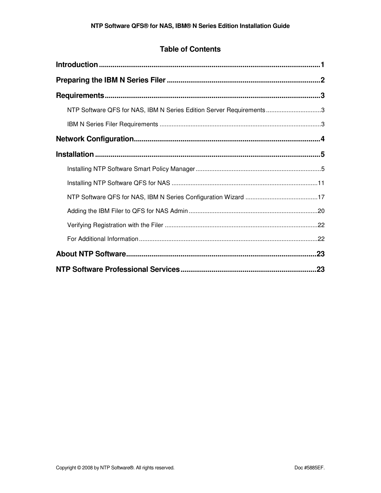## **Table of Contents**

| NTP Software QFS for NAS, IBM N Series Edition Server Requirements3 |     |
|---------------------------------------------------------------------|-----|
|                                                                     |     |
|                                                                     |     |
|                                                                     |     |
|                                                                     |     |
|                                                                     |     |
|                                                                     |     |
|                                                                     |     |
|                                                                     |     |
|                                                                     |     |
|                                                                     | .23 |
|                                                                     |     |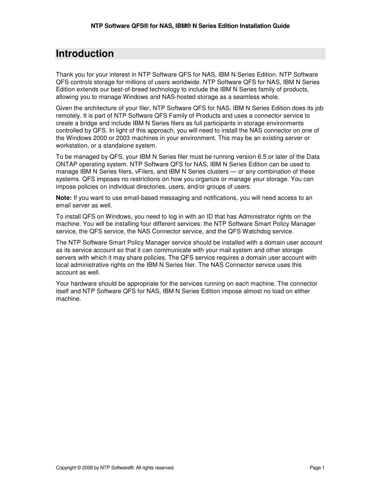# **Introduction**

Thank you for your interest in NTP Software QFS for NAS, IBM N Series Edition. NTP Software QFS controls storage for millions of users worldwide. NTP Software QFS for NAS, IBM N Series Edition extends our best-of-breed technology to include the IBM N Series family of products, allowing you to manage Windows and NAS-hosted storage as a seamless whole.

Given the architecture of your filer, NTP Software QFS for NAS, IBM N Series Edition does its job remotely. It is part of NTP Software QFS Family of Products and uses a connector service to create a bridge and include IBM N Series filers as full participants in storage environments controlled by QFS. In light of this approach, you will need to install the NAS connector on one of the Windows 2000 or 2003 machines in your environment. This may be an existing server or workstation, or a standalone system.

To be managed by QFS, your IBM N Series filer must be running version 6.5 or later of the Data ONTAP operating system. NTP Software QFS for NAS, IBM N Series Edition can be used to manage IBM N Series filers, vFilers, and IBM N Series clusters — or any combination of these systems. QFS imposes no restrictions on how you organize or manage your storage. You can impose policies on individual directories, users, and/or groups of users.

**Note:** If you want to use email-based messaging and notifications, you will need access to an email server as well.

To install QFS on Windows, you need to log in with an ID that has Administrator rights on the machine. You will be installing four different services: the NTP Software Smart Policy Manager service, the QFS service, the NAS Connector service, and the QFS Watchdog service.

The NTP Software Smart Policy Manager service should be installed with a domain user account as its service account so that it can communicate with your mail system and other storage servers with which it may share policies. The QFS service requires a domain user account with local administrative rights on the IBM N Series filer. The NAS Connector service uses this account as well.

Your hardware should be appropriate for the services running on each machine. The connector itself and NTP Software QFS for NAS, IBM N Series Edition impose almost no load on either machine.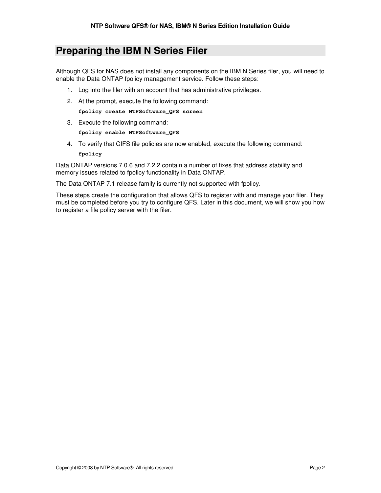# **Preparing the IBM N Series Filer**

Although QFS for NAS does not install any components on the IBM N Series filer, you will need to enable the Data ONTAP fpolicy management service. Follow these steps:

- 1. Log into the filer with an account that has administrative privileges.
- 2. At the prompt, execute the following command: **fpolicy create NTPSoftware\_QFS screen**
- 3. Execute the following command:

**fpolicy enable NTPSoftware\_QFS** 

4. To verify that CIFS file policies are now enabled, execute the following command: **fpolicy** 

Data ONTAP versions 7.0.6 and 7.2.2 contain a number of fixes that address stability and memory issues related to fpolicy functionality in Data ONTAP.

The Data ONTAP 7.1 release family is currently not supported with fpolicy.

These steps create the configuration that allows QFS to register with and manage your filer. They must be completed before you try to configure QFS. Later in this document, we will show you how to register a file policy server with the filer.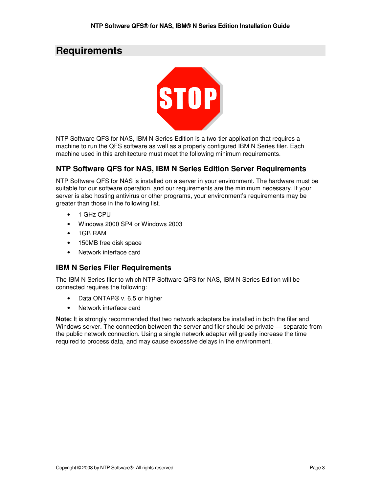# **Requirements**



NTP Software QFS for NAS, IBM N Series Edition is a two-tier application that requires a machine to run the QFS software as well as a properly configured IBM N Series filer. Each machine used in this architecture must meet the following minimum requirements.

### **NTP Software QFS for NAS, IBM N Series Edition Server Requirements**

NTP Software QFS for NAS is installed on a server in your environment. The hardware must be suitable for our software operation, and our requirements are the minimum necessary. If your server is also hosting antivirus or other programs, your environment's requirements may be greater than those in the following list.

- 1 GHz CPU
- Windows 2000 SP4 or Windows 2003
- 1GB RAM
- 150MB free disk space
- Network interface card

#### **IBM N Series Filer Requirements**

The IBM N Series filer to which NTP Software QFS for NAS, IBM N Series Edition will be connected requires the following:

- Data ONTAP® v. 6.5 or higher
- Network interface card

**Note:** It is strongly recommended that two network adapters be installed in both the filer and Windows server. The connection between the server and filer should be private — separate from the public network connection. Using a single network adapter will greatly increase the time required to process data, and may cause excessive delays in the environment.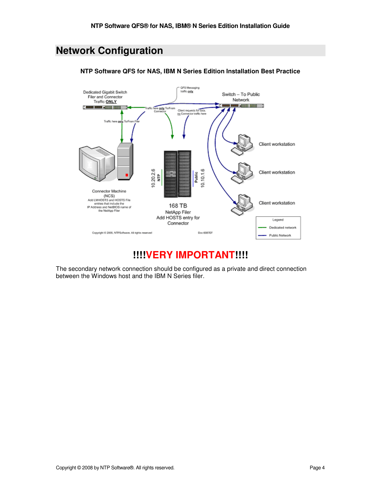# **Network Configuration**



**NTP Software QFS for NAS, IBM N Series Edition Installation Best Practice** 

# **!!!!VERY IMPORTANT!!!!**

The secondary network connection should be configured as a private and direct connection between the Windows host and the IBM N Series filer.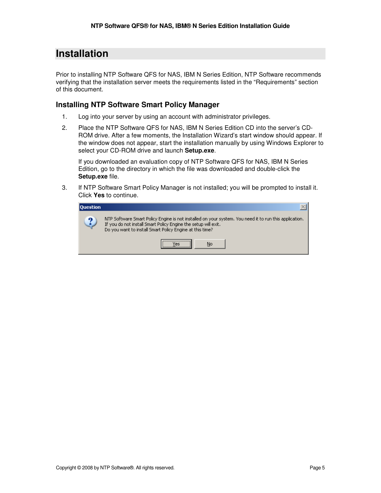# **Installation**

Prior to installing NTP Software QFS for NAS, IBM N Series Edition, NTP Software recommends verifying that the installation server meets the requirements listed in the "Requirements" section of this document.

### **Installing NTP Software Smart Policy Manager**

- 1. Log into your server by using an account with administrator privileges.
- 2. Place the NTP Software QFS for NAS, IBM N Series Edition CD into the server's CD-ROM drive. After a few moments, the Installation Wizard's start window should appear. If the window does not appear, start the installation manually by using Windows Explorer to select your CD-ROM drive and launch **Setup.exe**.

If you downloaded an evaluation copy of NTP Software QFS for NAS, IBM N Series Edition, go to the directory in which the file was downloaded and double-click the **Setup.exe** file.

3. If NTP Software Smart Policy Manager is not installed; you will be prompted to install it. Click **Yes** to continue.

| <b>Ouestion</b> |                                                                                                                                                                                                                                      |
|-----------------|--------------------------------------------------------------------------------------------------------------------------------------------------------------------------------------------------------------------------------------|
| ച               | NTP Software Smart Policy Engine is not installed on your system. You need it to run this application.<br>If you do not install Smart Policy Engine the setup will exit.<br>Do you want to install Smart Policy Engine at this time? |
|                 | <br>No                                                                                                                                                                                                                               |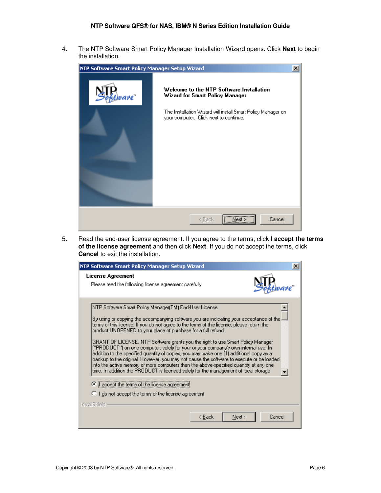4. The NTP Software Smart Policy Manager Installation Wizard opens. Click **Next** to begin the installation.



5. Read the end-user license agreement. If you agree to the terms, click **I accept the terms of the license agreement** and then click **Next**. If you do not accept the terms, click **Cancel** to exit the installation.

| NTP Software Smart Policy Manager Setup Wizard                                                                                                                                                                                                                                                                                                                                                                                                                                                                                                                                                                                                                                                                                                                                                                                                                             |  |
|----------------------------------------------------------------------------------------------------------------------------------------------------------------------------------------------------------------------------------------------------------------------------------------------------------------------------------------------------------------------------------------------------------------------------------------------------------------------------------------------------------------------------------------------------------------------------------------------------------------------------------------------------------------------------------------------------------------------------------------------------------------------------------------------------------------------------------------------------------------------------|--|
| License Agreement<br>Please read the following license agreement carefully.                                                                                                                                                                                                                                                                                                                                                                                                                                                                                                                                                                                                                                                                                                                                                                                                |  |
| NTP Software Smart Policy Manager(TM) End-User License.<br>By using or copying the accompanying software you are indicating your acceptance of the $\cdot$<br>terms of this license. If you do not agree to the terms of this license, please return the<br>product UNOPENED to your place of purchase for a full refund.<br>GRANT OF LICENSE. NTP Software grants you the right to use Smart Policy Manager<br>("PRODUCT") on one computer, solely for your or your company's own internal use. In<br>addition to the specified quantity of copies, you may make one [1] additional copy as a<br>backup to the original. However, you may not cause the software to execute or be loaded<br>into the active memory of more computers than the above-specified quantity at any one<br>time. In addition the PRODUCT is licensed solely for the management of local storage |  |
| <sup>c</sup> accept the terms of the license agreement<br>C I do not accept the terms of the license agreement                                                                                                                                                                                                                                                                                                                                                                                                                                                                                                                                                                                                                                                                                                                                                             |  |
| <b>InstallShield</b><br>Next<br>Cancel<br>< Back                                                                                                                                                                                                                                                                                                                                                                                                                                                                                                                                                                                                                                                                                                                                                                                                                           |  |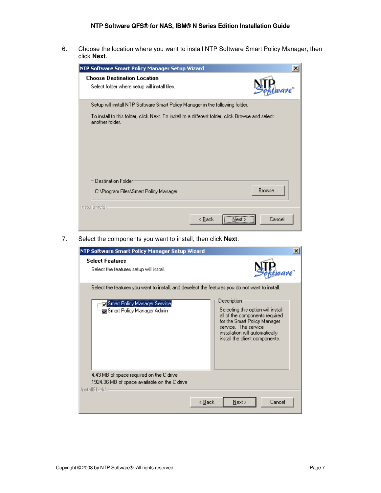6. Choose the location where you want to install NTP Software Smart Policy Manager; then click **Next**.

| NTP Software Smart Policy Manager Setup Wizard                                                                      | $\vert x \vert$  |
|---------------------------------------------------------------------------------------------------------------------|------------------|
| <b>Choose Destination Location</b><br>Select folder where setup will install files.                                 |                  |
| Setup will install NTP Software Smart Policy Manager in the following folder.                                       |                  |
| To install to this folder, click Next. To install to a different folder, click Browse and select<br>another folder. |                  |
|                                                                                                                     |                  |
|                                                                                                                     |                  |
| Destination Folder                                                                                                  |                  |
| C:\Program Files\Smart Policy Manager                                                                               | Browse           |
| InstallShield                                                                                                       |                  |
| < Back                                                                                                              | Cancel<br>Next : |

7. Select the components you want to install; then click **Next**.

| NTP Software Smart Policy Manager Setup Wizard                                                                                                                             | $\times$                                                                                                                                                                                                          |
|----------------------------------------------------------------------------------------------------------------------------------------------------------------------------|-------------------------------------------------------------------------------------------------------------------------------------------------------------------------------------------------------------------|
| <b>Select Features</b><br>Select the features setup will install.                                                                                                          |                                                                                                                                                                                                                   |
| Select the features you want to install, and deselect the features you do not want to install.<br>Smart Policy Manager Service<br><sub>i…</sub> Smart Policy Manager Admin | Description:<br>Selecting this option will install<br>all of the components required<br>for the Smart Policy Manager<br>service. The service<br>installation will automatically<br>install the client components. |
| 4.43 MB of space required on the C drive<br>1924.36 MB of space available on the C drive<br><b>InstallShield</b>                                                           | Cancel<br>< Back<br>Next                                                                                                                                                                                          |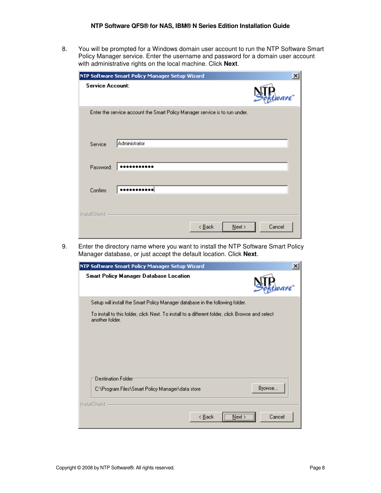8. You will be prompted for a Windows domain user account to run the NTP Software Smart Policy Manager service. Enter the username and password for a domain user account with administrative rights on the local machine. Click **Next**.

|                         | NTP Software Smart Policy Manager Setup Wizard                              | ×      |
|-------------------------|-----------------------------------------------------------------------------|--------|
| <b>Service Account:</b> |                                                                             |        |
|                         | Enter the service account the Smart Policy Manager service is to run under. |        |
| Service                 | Administrator                                                               |        |
| Password:               |                                                                             |        |
| Confirm:                |                                                                             |        |
| InstallShield           | $\leq$ $\underline{B}$ ack<br>$N$ ext >                                     | Cancel |

9. Enter the directory name where you want to install the NTP Software Smart Policy Manager database, or just accept the default location. Click **Next**.

| NTP Software Smart Policy Manager Setup Wizard                                                                      | $\times$ |
|---------------------------------------------------------------------------------------------------------------------|----------|
| Smart Policy Manager Database Location                                                                              |          |
| Setup will install the Smart Policy Manager database in the following folder.                                       |          |
| To install to this folder, click Next. To install to a different folder, click Browse and select<br>another folder. |          |
| Destination Folder<br>C:\Program Files\Smart Policy Manager\data store<br>InstallShield                             | Browse   |
| < <u>B</u> ack<br>Next >                                                                                            | Cancel   |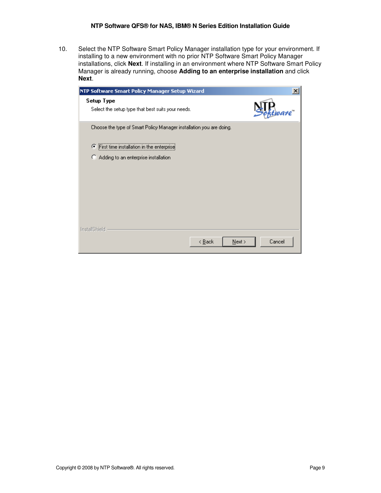10. Select the NTP Software Smart Policy Manager installation type for your environment. If installing to a new environment with no prior NTP Software Smart Policy Manager installations, click **Next**. If installing in an environment where NTP Software Smart Policy Manager is already running, choose **Adding to an enterprise installation** and click **Next**.

| NTP Software Smart Policy Manager Setup Wizard                      |                             | $\boldsymbol{\mathsf{x}}$ |
|---------------------------------------------------------------------|-----------------------------|---------------------------|
| Setup Type<br>Select the setup type that best suits your needs.     |                             |                           |
| Choose the type of Smart Policy Manager installation you are doing. |                             |                           |
| First time installation in the enterprise<br>Œ                      |                             |                           |
| Adding to an enterprise installation<br>о                           |                             |                           |
|                                                                     |                             |                           |
|                                                                     |                             |                           |
|                                                                     |                             |                           |
|                                                                     |                             |                           |
|                                                                     |                             |                           |
| <b>InstallShield</b>                                                |                             |                           |
|                                                                     | < <u>B</u> ack<br>$N$ ext > | Cancel                    |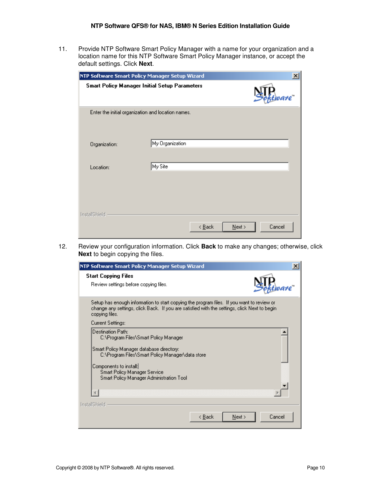11. Provide NTP Software Smart Policy Manager with a name for your organization and a location name for this NTP Software Smart Policy Manager instance, or accept the default settings. Click **Next**.

|                      | NTP Software Smart Policy Manager Setup Wizard       |                            |           | ×      |
|----------------------|------------------------------------------------------|----------------------------|-----------|--------|
|                      | <b>Smart Policy Manager Initial Setup Parameters</b> |                            |           | ware"  |
|                      | Enter the initial organization and location names.   |                            |           |        |
|                      |                                                      |                            |           |        |
|                      |                                                      |                            |           |        |
| Organization:        | My Organization                                      |                            |           |        |
|                      |                                                      |                            |           |        |
| Location:            | My Site                                              |                            |           |        |
|                      |                                                      |                            |           |        |
|                      |                                                      |                            |           |        |
|                      |                                                      |                            |           |        |
|                      |                                                      |                            |           |        |
| <b>InstallShield</b> |                                                      |                            |           |        |
|                      |                                                      | $\leq$ $\underline{B}$ ack | $N$ ext > | Cancel |
|                      |                                                      |                            |           |        |

12. Review your configuration information. Click **Back** to make any changes; otherwise, click **Next** to begin copying the files.

| NTP Software Smart Policy Manager Setup Wizard                                                                                                                                                                                                                   |        |
|------------------------------------------------------------------------------------------------------------------------------------------------------------------------------------------------------------------------------------------------------------------|--------|
| <b>Start Copying Files</b><br>Review settings before copying files.                                                                                                                                                                                              |        |
| Setup has enough information to start copying the program files. If you want to review or<br>change any settings, click Back. If you are satisfied with the settings, click Next to begin<br>copying files.                                                      |        |
| Current Settings:                                                                                                                                                                                                                                                |        |
| Destination Path:<br>C:\Program Files\Smart Policy Manager<br>Smart Policy Manager database directory:<br>C:\Program Files\Smart Policy Manager\data store<br>Components to install:<br>Smart Policy Manager Service<br>Smart Policy Manager Administration Tool |        |
| <b>InstallShield</b><br>< Back<br>Next                                                                                                                                                                                                                           | Cancel |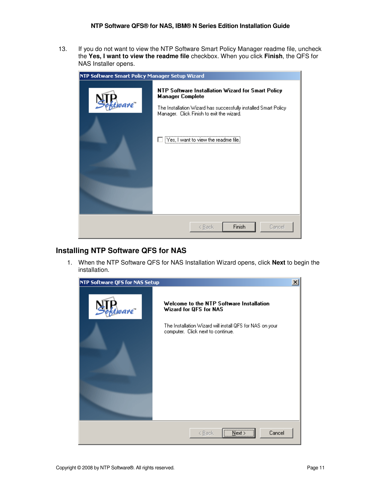13. If you do not want to view the NTP Software Smart Policy Manager readme file, uncheck the **Yes, I want to view the readme file** checkbox. When you click **Finish**, the QFS for NAS Installer opens.



### **Installing NTP Software QFS for NAS**

1. When the NTP Software QFS for NAS Installation Wizard opens, click **Next** to begin the installation.

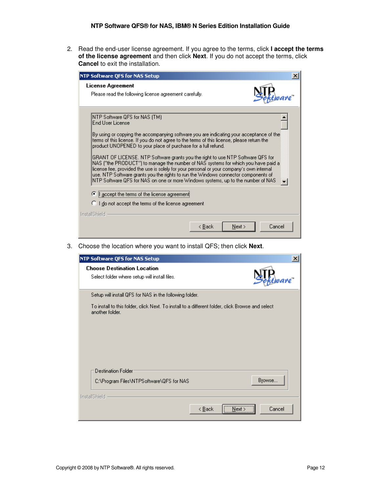2. Read the end-user license agreement. If you agree to the terms, click **I accept the terms of the license agreement** and then click **Next**. If you do not accept the terms, click **Cancel** to exit the installation.

| NTP Software QFS for NAS Setup                                                                                                                                                                                                                                                                                                                                                                                                                                                                                                                                                                                                                                                                                                                                                                                                                                                |
|-------------------------------------------------------------------------------------------------------------------------------------------------------------------------------------------------------------------------------------------------------------------------------------------------------------------------------------------------------------------------------------------------------------------------------------------------------------------------------------------------------------------------------------------------------------------------------------------------------------------------------------------------------------------------------------------------------------------------------------------------------------------------------------------------------------------------------------------------------------------------------|
| License Agreement<br>Please read the following license agreement carefully.                                                                                                                                                                                                                                                                                                                                                                                                                                                                                                                                                                                                                                                                                                                                                                                                   |
| [NTP Software QFS for NAS (TM)<br>End Hser License.<br>By using or copying the accompanying software you are indicating your acceptance of the:<br>terms of this license. If you do not agree to the terms of this license, please return the<br>product UNOPENED to your place of purchase for a full refund.<br>GRANT OF LICENSE. NTP Software grants you the right to use NTP Software QFS for<br>NAS ("the PRODUCT") to manage the number of NAS systems for which you have paid a<br>license fee, provided the use is solely for your personal or your company's own internal<br>use. NTP Software grants you the rights to run the Windows connector components of<br>NTP Software QFS for NAS on one or more Windows systems, up to the number of NAS<br>accept the terms of the license agreement<br>G<br><b>C</b> I do not accept the terms of the license agreement |
| InstallShield<br>Cancel<br>< Back<br>Next                                                                                                                                                                                                                                                                                                                                                                                                                                                                                                                                                                                                                                                                                                                                                                                                                                     |

3. Choose the location where you want to install QFS; then click **Next**.

| NTP Software QFS for NAS Setup                                                                                      | $\vert x \vert$ |
|---------------------------------------------------------------------------------------------------------------------|-----------------|
| <b>Choose Destination Location</b><br>Select folder where setup will install files.                                 |                 |
| Setup will install QFS for NAS in the following folder.                                                             |                 |
| To install to this folder, click Next. To install to a different folder, click Browse and select<br>another folder. |                 |
| Destination Folder<br>C:\Program Files\NTPSoftware\QFS for NAS                                                      | Browse          |
| <b>InstallShield</b><br>< <u>B</u> ack<br>Next :                                                                    | Cancel          |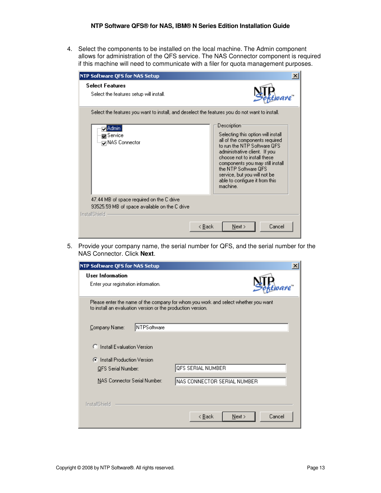4. Select the components to be installed on the local machine. The Admin component allows for administration of the QFS service. The NAS Connector component is required if this machine will need to communicate with a filer for quota management purposes.

| NTP Software QFS for NAS Setup                                                                                                                                                      | $\boldsymbol{\times}$                                                                                                                                                                                                                                                                                                                        |
|-------------------------------------------------------------------------------------------------------------------------------------------------------------------------------------|----------------------------------------------------------------------------------------------------------------------------------------------------------------------------------------------------------------------------------------------------------------------------------------------------------------------------------------------|
| <b>Select Features</b><br>Select the features setup will install.                                                                                                                   |                                                                                                                                                                                                                                                                                                                                              |
| Select the features you want to install, and deselect the features you do not want to install.<br><mark>⊽i</mark> Admin ¦<br>$\blacktriangledown$ Service<br><b>DINAS</b> Connector | Description <sup>®</sup><br>Selecting this option will install.<br>all of the components required<br>to run the NTP Software QFS<br>administrative client. If you<br>choose not to install these.<br>components you may still install<br>the NTP Software QFS<br>service, but you will not be.<br>able to configure it from this<br>machine. |
| 47.44 MB of space required on the C drive<br>93525.59 MB of space available on the C drive<br><b>InstallShield</b>                                                                  | Cancel<br>< Back<br>Next >                                                                                                                                                                                                                                                                                                                   |

5. Provide your company name, the serial number for QFS, and the serial number for the NAS Connector. Click **Next**.

| NTP Software QFS for NAS Setup                              |                                                                                    |
|-------------------------------------------------------------|------------------------------------------------------------------------------------|
| User Information<br>Enter your registration information.    |                                                                                    |
| to install an evaluation version or the production version. | Please enter the name of the company for whom you work and select whether you want |
| <b>INTPSoftware</b><br>Company Name:                        |                                                                                    |
| <b>C</b> Install Evaluation Version                         |                                                                                    |
| <b>C</b> Install Production Version                         |                                                                                    |
| QFS Serial Number:                                          | QFS SERIAL NUMBER                                                                  |
| NAS Connector Serial Number:                                | NAS CONNECTOR SERIAL NUMBER                                                        |
| <b>InstallShield</b>                                        |                                                                                    |
|                                                             | Cancel<br>< Back<br>Next                                                           |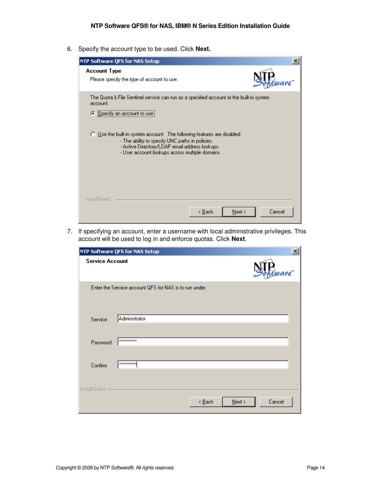6. Specify the account type to be used. Click **Next.**

| NTP Software QFS for NAS Setup                                                                                                                                                                                                                                                                                                                                                      | ×      |
|-------------------------------------------------------------------------------------------------------------------------------------------------------------------------------------------------------------------------------------------------------------------------------------------------------------------------------------------------------------------------------------|--------|
| <b>Account Type</b><br>Please specify the type of account to use.                                                                                                                                                                                                                                                                                                                   |        |
| The Quota & File Sentinel service can run as a specified account or the built-in system<br>account.<br>Specify an account to use.<br>G.<br>$\bigcirc$ Use the built-in system account. The following features are disabled:<br>- The ability to specify UNC paths in policies.<br>- Active Directory/LDAP email address lookups.<br>- User account lookups across multiple domains. |        |
| <b>InstallShield</b><br>< Back<br>Next                                                                                                                                                                                                                                                                                                                                              | Cancel |

7. If specifying an account, enter a username with local administrative privileges. This account will be used to log in and enforce quotas. Click **Next**.

|                        | $\mathbf{x}$<br><b>NTP Software QFS for NAS Setup</b>      |
|------------------------|------------------------------------------------------------|
| <b>Service Account</b> | are"                                                       |
|                        | Enter the Service account QFS for NAS is to run under.     |
| Service                | Administrator                                              |
| Password:              | <b>xxxxxxxxxxx</b>                                         |
| Confirm:               | **********                                                 |
| <b>InstallShield</b>   | Cancel<br>$\leq$ $\underline{\mathsf{B}}$ ack<br>$N$ ext > |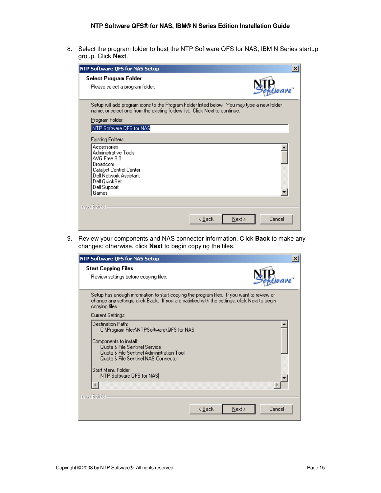8. Select the program folder to host the NTP Software QFS for NAS, IBM N Series startup group. Click **Next**.

| <b>NTP Software QFS for NAS Setup</b>                                                                                                                                                                              |                            | $\times$ |
|--------------------------------------------------------------------------------------------------------------------------------------------------------------------------------------------------------------------|----------------------------|----------|
| Select Program Folder<br>Please select a program folder.                                                                                                                                                           |                            |          |
| Setup will add program icons to the Program Folder listed below. You may type a new folder<br>name, or select one from the existing folders list. Click Next to continue.<br>Program Folder:                       |                            |          |
| NTP Software QFS for NAS                                                                                                                                                                                           |                            |          |
| Existing Folders:<br>Accessories<br>Administrative Tools<br>AVG Free 8.0<br><b>Broadcom</b><br>Catalyst Control Center<br>Dell Network Assistant<br>Dell QuickSet<br>Dell Support<br>Games<br><b>InstallShield</b> |                            |          |
|                                                                                                                                                                                                                    | Cancel<br>Next ><br>< Back |          |

9. Review your components and NAS connector information. Click **Back** to make any changes; otherwise, click **Next** to begin copying the files.

| NTP Software QFS for NAS Setup                                                                                                                                                                                                                                 |                |
|----------------------------------------------------------------------------------------------------------------------------------------------------------------------------------------------------------------------------------------------------------------|----------------|
| <b>Start Copying Files</b><br>Review settings before copying files.                                                                                                                                                                                            |                |
| Setup has enough information to start copying the program files. If you want to review or<br>change any settings, click Back. If you are satisfied with the settings, click Next to begin<br>copying files.                                                    |                |
| Current Settings:                                                                                                                                                                                                                                              |                |
| Destination Path:<br>C:\Program Files\NTPSoftware\QFS for NAS<br>Components to install:<br>Quota & File Sentinel Service<br>Quota & File Sentinel Administration Tool<br>Quota & File Sentinel NAS Connector<br>Start Menu Folder:<br>NTP Software QFS for NAS |                |
| InstallShield                                                                                                                                                                                                                                                  |                |
| < Back                                                                                                                                                                                                                                                         | Cancel<br>Next |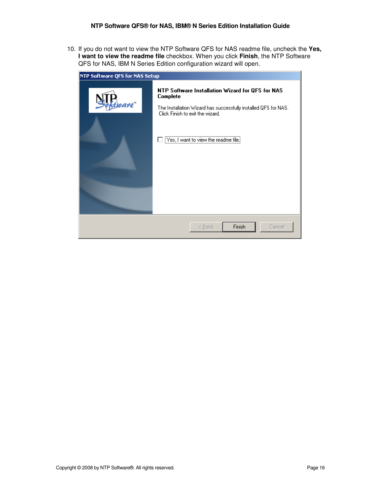10. If you do not want to view the NTP Software QFS for NAS readme file, uncheck the **Yes, I want to view the readme file** checkbox. When you click **Finish**, the NTP Software QFS for NAS, IBM N Series Edition configuration wizard will open.

| NTP Software QFS for NAS Setup |                                                                                                                                                                                                              |
|--------------------------------|--------------------------------------------------------------------------------------------------------------------------------------------------------------------------------------------------------------|
| rare"                          | NTP Software Installation Wizard for QFS for NAS<br>Complete<br>The Installation Wizard has successfully installed QFS for NAS.<br>Click Finish to exit the wizard.<br>[Yes, I want to view the readme file] |
|                                | Finish<br>Cancel<br>< Back                                                                                                                                                                                   |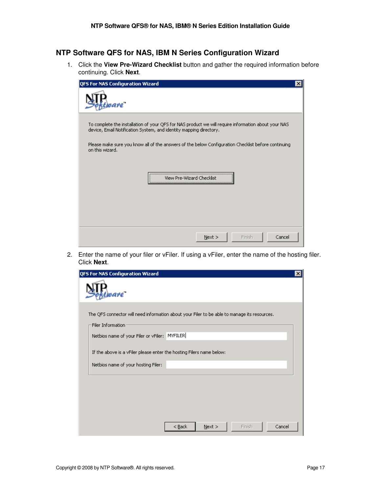### **NTP Software QFS for NAS, IBM N Series Configuration Wizard**

1. Click the **View Pre-Wizard Checklist** button and gather the required information before continuing. Click **Next**.

| QFS For NAS Configuration Wizard                                                                                                                                          | $\times$ |
|---------------------------------------------------------------------------------------------------------------------------------------------------------------------------|----------|
| vare"                                                                                                                                                                     |          |
| To complete the installation of your QFS for NAS product we will require information about your NAS<br>device, Email Notification System, and identity mapping directory. |          |
| Please make sure you know all of the answers of the below Configuration Checklist before continuing<br>on this wizard.                                                    |          |
| View Pre-Wizard Checklist                                                                                                                                                 |          |
| Cancel<br>Next<br>Finish                                                                                                                                                  |          |

2. Enter the name of your filer or vFiler. If using a vFiler, enter the name of the hosting filer. Click **Next**.

| QFS For NAS Configuration Wizard                                                                                  | $\boldsymbol{\mathsf{x}}$ |
|-------------------------------------------------------------------------------------------------------------------|---------------------------|
| vare"                                                                                                             |                           |
| The QFS connector will need information about your Filer to be able to manage its resources.<br>Filer Information |                           |
| Netbios name of your Filer or vFiler: MYFILER                                                                     |                           |
| If the above is a vFiler please enter the hosting Filers name below:                                              |                           |
| Netbios name of your hosting Filer:                                                                               |                           |
|                                                                                                                   |                           |
|                                                                                                                   |                           |
|                                                                                                                   |                           |
| Cancel<br>$Back$<br>Finish<br>$N$ ext >                                                                           |                           |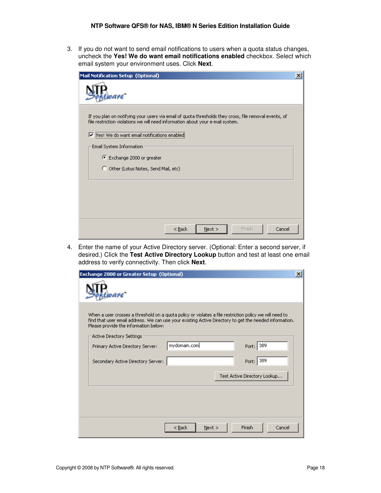3. If you do not want to send email notifications to users when a quota status changes, uncheck the **Yes! We do want email notifications enabled** checkbox. Select which email system your environment uses. Click **Next**.

| Mail Notification Setup (Optional)                                                                                                                                                                                                          | × |
|---------------------------------------------------------------------------------------------------------------------------------------------------------------------------------------------------------------------------------------------|---|
| vare"                                                                                                                                                                                                                                       |   |
| If you plan on notifying your users via email of quota thresholds they cross, file removal events, of<br>file restriction violations we will need information about your e-mail system.<br>Ves! We do want email notifications enabled<br>Ⅳ |   |
| Email System Information                                                                                                                                                                                                                    |   |
| Exchange 2000 or greater                                                                                                                                                                                                                    |   |
| O Other (Lotus Notes, Send Mail, etc)                                                                                                                                                                                                       |   |
|                                                                                                                                                                                                                                             |   |
|                                                                                                                                                                                                                                             |   |
|                                                                                                                                                                                                                                             |   |
|                                                                                                                                                                                                                                             |   |
| Finish<br>Cancel<br>$<$ Back<br>Next                                                                                                                                                                                                        |   |

4. Enter the name of your Active Directory server. (Optional: Enter a second server, if desired.) Click the **Test Active Directory Lookup** button and test at least one email address to verify connectivity. Then click **Next**.

| <b>Exchange 2000 or Greater Setup (Optional)</b>                                                                                                 |                  |                                                                                                        | $\mathbf{x}$ |
|--------------------------------------------------------------------------------------------------------------------------------------------------|------------------|--------------------------------------------------------------------------------------------------------|--------------|
| vare"                                                                                                                                            |                  |                                                                                                        |              |
| When a user crosses a threshold on a quota policy or violates a file restriction policy we will need to<br>Please provide the information below: |                  | find that user email address. We can use your existing Active Directory to get the needed information. |              |
| Active Directory Settings                                                                                                                        |                  |                                                                                                        |              |
| Primary Active Directory Server:                                                                                                                 | mydomain.com     | Port: 389                                                                                              |              |
| Secondary Active Directory Server:                                                                                                               |                  | Port: 389                                                                                              |              |
|                                                                                                                                                  |                  | Test Active Directory Lookup                                                                           |              |
|                                                                                                                                                  |                  |                                                                                                        |              |
|                                                                                                                                                  |                  |                                                                                                        |              |
|                                                                                                                                                  |                  |                                                                                                        |              |
|                                                                                                                                                  | $<$ Back<br>Next | Finish<br>Cancel                                                                                       |              |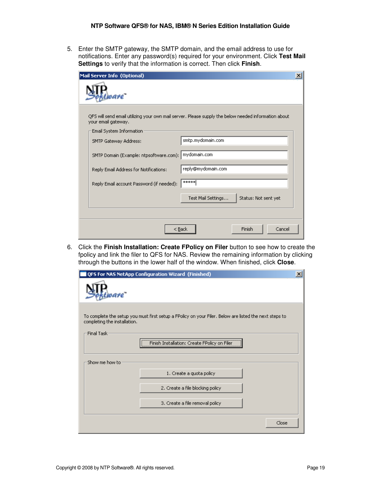5. Enter the SMTP gateway, the SMTP domain, and the email address to use for notifications. Enter any password(s) required for your environment. Click **Test Mail Settings** to verify that the information is correct. Then click **Finish**.

| Mail Server Info (Optional)                                                                                                 | × |
|-----------------------------------------------------------------------------------------------------------------------------|---|
| vare"                                                                                                                       |   |
| QFS will send email utilizing your own mail server. Please supply the below needed information about<br>your email gateway. |   |
| Email System Information                                                                                                    |   |
| smtp.mydomain.com<br>SMTP Gateway Address:                                                                                  |   |
| SMTP Domain (Example: ntpsoftware.com); mydomain.com                                                                        |   |
| reply@mydomain.com<br>Reply Email Address for Notifications:                                                                |   |
| *****<br>Reply Email account Password (if needed):                                                                          |   |
| Test Mail Settings<br>Status: Not sent yet                                                                                  |   |
|                                                                                                                             |   |
| Cancel<br>Finish<br>< <u>B</u> ack                                                                                          |   |

6. Click the **Finish Installation: Create FPolicy on Filer** button to see how to create the fpolicy and link the filer to QFS for NAS. Review the remaining information by clicking through the buttons in the lower half of the window. When finished, click **Close**.

|                                                                                                                                                                                                       | QFS For NAS NetApp Configuration Wizard (Finished) | × |  |  |
|-------------------------------------------------------------------------------------------------------------------------------------------------------------------------------------------------------|----------------------------------------------------|---|--|--|
| vare"                                                                                                                                                                                                 |                                                    |   |  |  |
| To complete the setup you must first setup a FPolicy on your Filer. Below are listed the next steps to<br>completing the installation.<br>Final Task:<br>Finish Installation: Create FPolicy on Filer |                                                    |   |  |  |
| Show me how to                                                                                                                                                                                        |                                                    |   |  |  |
|                                                                                                                                                                                                       | 1. Create a quota policy                           |   |  |  |
|                                                                                                                                                                                                       | 2. Create a file blocking policy                   |   |  |  |
|                                                                                                                                                                                                       | 3. Create a file removal policy                    |   |  |  |
|                                                                                                                                                                                                       | Close                                              |   |  |  |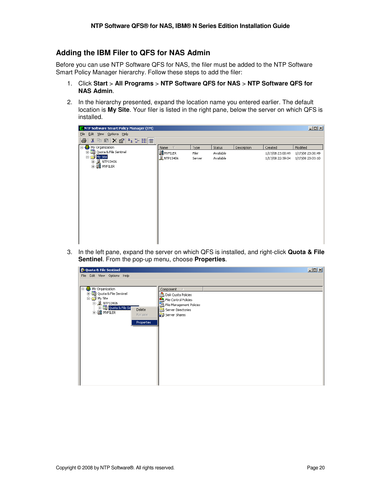### **Adding the IBM Filer to QFS for NAS Admin**

Before you can use NTP Software QFS for NAS, the filer must be added to the NTP Software Smart Policy Manager hierarchy. Follow these steps to add the filer:

- 1. Click **Start** > **All Programs** > **NTP Software QFS for NAS** > **NTP Software QFS for NAS Admin**.
- 2. In the hierarchy presented, expand the location name you entered earlier. The default location is **My Site**. Your filer is listed in the right pane, below the server on which QFS is installed.

| Edit View Options Help<br>Eile<br>※ 喻 同  × 窗   º_ :- 第  前<br>4<br><b>E</b> Ny Organization<br>Modified<br>Status<br>Description<br>$\nabla$<br>Created<br>Name<br>Type |
|------------------------------------------------------------------------------------------------------------------------------------------------------------------------|
|                                                                                                                                                                        |
|                                                                                                                                                                        |
|                                                                                                                                                                        |
| E  Bu Quota & File Sentinel<br>BE MYFILER<br>Available<br>1/17/08 23:00:49<br>Filer<br>1/17/08 23:00:49                                                                |
| My Site<br>Ėŀ<br><b>L</b> NTP13406<br>Available<br>Server<br>1/17/08 22:39:04<br>1/17/08 23:03:10<br>由 J NTP13406                                                      |
| 由 <b>国常</b> MYFILER                                                                                                                                                    |
|                                                                                                                                                                        |
|                                                                                                                                                                        |
|                                                                                                                                                                        |
|                                                                                                                                                                        |
|                                                                                                                                                                        |
|                                                                                                                                                                        |
|                                                                                                                                                                        |
|                                                                                                                                                                        |
|                                                                                                                                                                        |
|                                                                                                                                                                        |
|                                                                                                                                                                        |

3. In the left pane, expand the server on which QFS is installed, and right-click **Quota & File Sentinel**. From the pop-up menu, choose **Properties**.

| Quota & File Sentinel                      |                          | $-10 \times$ |
|--------------------------------------------|--------------------------|--------------|
| File Edit View Options Help                |                          |              |
|                                            |                          |              |
| H H Hy Organization                        | Component<br>$\Lambda$   |              |
| 由 B Quota & File Sentinel                  | 음 Disk Quota Policies    |              |
| <b>E</b> My Site                           | File Control Policies    |              |
| <b>□ 夏 NTP13406</b><br>由 图 Quota & File Se | File Management Policies |              |
| Delete<br><b>E-BE</b> MYFILER              | È<br>Server Directories  |              |
| Rename                                     | Server Shares            |              |
| <b>Properties</b>                          |                          |              |
|                                            |                          |              |
|                                            |                          |              |
|                                            |                          |              |
|                                            |                          |              |
|                                            |                          |              |
|                                            |                          |              |
|                                            |                          |              |
|                                            |                          |              |
|                                            |                          |              |
|                                            |                          |              |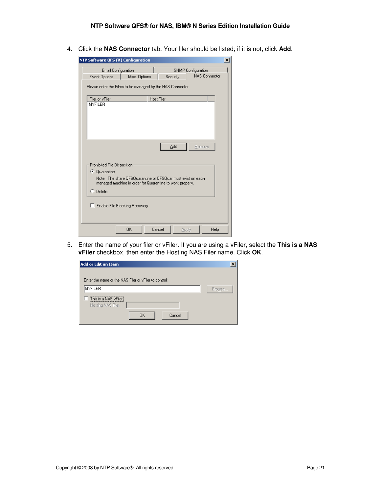4. Click the **NAS Connector** tab. Your filer should be listed; if it is not, click **Add**.

| NTP Software QFS (R) Configuration                                                                                                                                                    | $\times$ |
|---------------------------------------------------------------------------------------------------------------------------------------------------------------------------------------|----------|
| Email Configuration<br><b>SNMP</b> Configuration<br><b>NAS Connector</b><br>Event Options<br>Misc. Options<br>Security<br>Please enter the Filers to be managed by the NAS Connector. |          |
| <b>Host Filer</b><br>Filer or vFiler<br><b>MYFILER</b>                                                                                                                                |          |
| Remove<br>Add<br>Prohibited File Disposition<br>C Quarantine                                                                                                                          |          |
| Note: The share OFSQuarantine or OFSQuar must exist on each<br>managed machine in order for Quarantine to work properly.<br>C Delete<br>Enable File Blocking Recovery                 |          |
| <b>OK</b><br>Cancel<br>Help<br>Apply                                                                                                                                                  |          |

5. Enter the name of your filer or vFiler. If you are using a vFiler, select the **This is a NAS vFiler** checkbox, then enter the Hosting NAS Filer name. Click **OK**.

| Add or Edit an Item                                   |        |
|-------------------------------------------------------|--------|
| Enter the name of the NAS Filer or yFiler to control: |        |
| <b>MYFILER</b>                                        | Browse |
| This is a NAS vFiler.<br>Hosting NAS Filer            |        |
| Cancel<br><b>OK</b>                                   |        |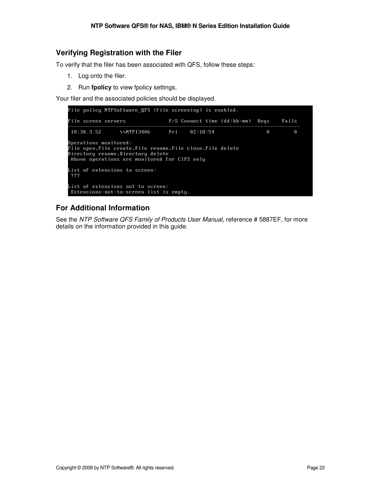### **Verifying Registration with the Filer**

To verify that the filer has been associated with QFS, follow these steps:

- 1. Log onto the filer.
- 2. Run **fpolicy** to view fpolicy settings.

Your filer and the associated policies should be displayed.

| File policy MTPSoftware QFS (file screening) is enabled.                                                                                                               |                                                                              |  |  |                                  |   |       |  |
|------------------------------------------------------------------------------------------------------------------------------------------------------------------------|------------------------------------------------------------------------------|--|--|----------------------------------|---|-------|--|
| File screen servers                                                                                                                                                    |                                                                              |  |  | P/S Connect time (dd:hh:mm) Reqs |   | Fails |  |
|                                                                                                                                                                        | $10.30.3.52$ $\sqrt{MTP13406}$ Pri 02:18:54                                  |  |  |                                  | 0 | 0     |  |
| Operations monitored:<br>File open,File create,File rename,File close,File delete<br>Directory rename,Directory delete<br>Above operations are monitored for CIFS only |                                                                              |  |  |                                  |   |       |  |
| ???                                                                                                                                                                    | List of extensions to screen:                                                |  |  |                                  |   |       |  |
|                                                                                                                                                                        | List of extensions not to screen:<br>Extensions-not-to-screen list is empty. |  |  |                                  |   |       |  |

### **For Additional Information**

See the NTP Software QFS Family of Products User Manual, reference # 5887EF, for more details on the information provided in this guide.